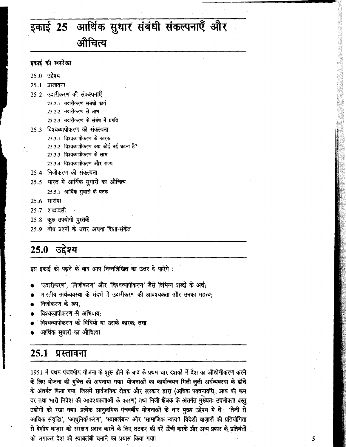# इकाई 25 आर्थिक सुधार संबंधी संकल्पनाएँ और औचित्य

- इकाई की रूपरेखा
- 25.0 उद्देश्य
- २५.१ प्रस्तावना
- 25.2 उदारीकरण की संकल्पनाएँ
	- 25.2.1 उदारीकरण संबंधी कार्य
	- 25.2.2 उदारीकरण से लाभ
	- 25.2.3 उदारीकरण के संबंध में प्रगति
- 25.3 विश्वव्यापीकरण की संकल्पना
	- 25.3.1 विश्वव्यापीकरण के कारक
	- 25.3.2 विश्वव्यापीकरण क्या कोई नई घटना है?
	- 25.3.3 विश्वव्यापीकरण के लाभ
	- 25.3.4 विश्वव्यापीकरण और राज्य
- 25.4 निजीकरण की संकल्पना
- 25.5 भारत में आर्थिक सुधारों का औचित्य
	- 25.5.1 आर्थिक सुधारों के घटक
- **25.6 सारांश**
- 25.7 शब्दावली
- 25.8 कुछ उपयोगी पुस्तकें
- 25.9 बोध प्रश्नों के उत्तर अथवा दिशा-संकेत

#### उद्देश्य 25.0

इस इकाई को पढ़ने के बाद आप निम्नलिखित का उत्तर दे पाएँगे :

- 'उदारीकरण', 'निजीकरण' और 'विश्वव्यापीकरण' जैसे विभिन्न शब्दों के अर्थ;
- भारतीय अर्थव्यवस्था के संदर्भ में उदारीकरण की आवश्यकता और उनका महत्त्व;
- निजीकरण के रूप:
- विश्वव्यापीकरण से अभिप्राय:
- विश्वव्यापीकरण की विधियाँ या उसके कारक; तथा
- आर्थिक सुधारों का औचित्या

#### 25.1 प्रस्तावना

1951 में प्रथम पंचवर्षीय योजना के शुरू होने के बाद के प्रथम चार दशकों में देश का औद्योगीकरण करने के लिए योजना की युक्ति को अपनाया गया। योजनाओं का कार्यान्वयन मिली-जुली अर्थव्यवस्था के ढाँचे के अंतर्गत किया गया, जिसमें सार्वजनिक क्षेत्रक और सरकार द्वारा (अधिक पक्वनावधि, आय की कम दर तथा भारी निवेश की आवश्यकताओं के कारण) तथा निजी सैंत्रक के अंतर्गत मुख्यतः उपभोक्ता वस्तु उद्योगों को रखा गया। प्रत्येक आनुक्रमिक पंचवर्षीय योजनाओं के चार मुख्य उद्देश्य ये थे- 'तेजी से आर्थिक संवृद्धि', 'आधुनिकीकरण', 'स्वाबलंबन' और 'सामाजिक न्याय'। विदेशी बाज़ारों की प्रतियोगिता से देशीय बाज़ार को संरक्षण प्रदान करने के लिए तटकर की दरें ऊँची करके और अन्य प्रकार के प्रतिबंधों को लगाकर देश को स्वाबलंबी बनाने का प्रयास किया गया।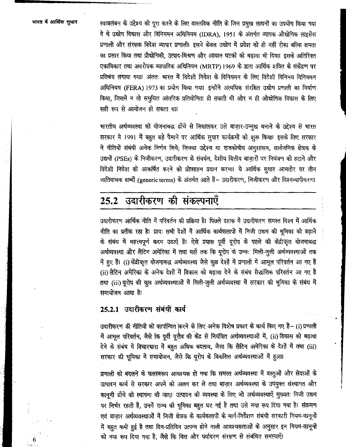6

स्वाबलंबन के उद्देश्य को पूरा करने के लिए वास्तविक नीति के जिन प्रमुख साधनों का उपयोग किया गया वे थे उद्योग विकास और विनियमन अधिनियम (IDRA), 1951 के अंतर्गत व्यापक औद्योगिक लाइसेंस प्रणाली और संरक्षक विदेश व्यापार प्रणाली। इसने केवल उद्योग में प्रवेश को ही नहीं रोका बल्कि क्षमता का प्रसार किया तथा प्रौद्योगिकी, उत्पाद-मिश्रण और आयात घटकों को बढ़ावा भी दिया। इसके अतिरिक्त एकाधिकार तथा अवरोधक व्यापारिक अधिनियम (MRTP) 1969 के द्वारा आर्थिक शक्ति के संकेंद्रण पर प्रतिबंध लगाया गया। अंततः भारत में विदेशी निवेश के विनियमन के लिए विदेशी विनिमय विनियमन अधिनियम (FERA) 1973 का प्रयोग किया गया। इन्होंने अत्यधिक संरक्षित उद्योग प्रणाली का निर्माण किया, जिसमें न तो समुचित आंतरिक प्रतियोगिता हो सकती थी और न ही औद्योगिक विकास के लिए सही रूप से आयोजन हो सकता था।

भारतीय अर्थव्यवस्था को योजनाबद्ध ढाँचे से निकालकर उसे बाज़ार-उन्मुख बनाने के उद्देश्य से भारत सरकार ने 1991 में बहुत बड़े पैमाने पर आर्थिक सुधार कार्यक्रमों को शुरू किया। इसके लिए सरकार ने नीतियों संबंधी अनेक निर्णय लिये; जिनका उद्देश्य था राजकोषीय अनूशासन, सार्वजनिक क्षेत्रक के उद्यमों (PSEs) के निजीकरण, उदारीकरण के संवर्धन, देशीय वित्तीय बाज़ारों पर नियंत्रण को हटाने और विदेशी निवेश को आकर्षित करने को प्रोत्साहन प्रदान करना। ये आर्थिक सुधार आमतौर पर तीन जातिवाचक शब्दों (generic terms) के अंतर्गत आते हैं- उदारीकरण, निजीकरण और विश्वव्यापीकरण।

# 25.2 उदारीकरण की संकल्पनाएँ

उदारीकरण आर्थिक नीति में परिवर्तन की प्रक्रिया है। पिछले दशक में उदारीकरण समस्त विश्व में आर्थिक नीति का प्रतीक रहा है। प्रायः सभी देशों में आर्थिक कार्यकलापों में निजी उद्यम की भूमिका को बढ़ाने के संबंध में महत्त्वपूर्ण कदम उठाएँ हैं। ऐसे प्रयास पूर्वी यूरोप के पहले की केंद्रीकृत योजनाबद्ध अर्थव्यवस्था और लैटिन अमेरिका में तथा यहाँ तक कि यूरोप के उन्नर मिली-जुली अर्थव्यवस्थाओं तक में हुए हैं। (i) केंद्रीकृत योजनाबद्ध अर्थव्यवस्था जैसे कुछ देशों में प्रणाली में आमूल परिवर्तन आ गए है (ii) लैटिन अमैरिका के अनेक देशों में विकास को बढ़ावा देने के संबंध सैद्धांतिक परिवर्तन आ गए है तथा (iii) यूरोप की कुछ अर्थव्यवस्थाओं में मिली-जुली अर्थव्यवस्था में सरकार की भूमिका के संबंध में समायोजन आया है।

## 25.2.1 उदारीकरण संबंधी कार्य

उदारीकरण की नीतियों को कार्यान्वित करने के लिए अनेक विशेष प्रकार के कार्य किए गए हैं- (i) प्रणाली में आमूल परिवर्तन, जैसे कि पूर्वी यूरोप की केंद्र से नियंत्रित अर्थव्यवस्थाओं में, (ii) विकास को बढ़ावा देने के संबंध में विचारधारा में बहुत अधिक बदलाव, जैसा कि लैटिन अमेरिका के देशों में तथा (iii) सरकार की भूमिका में समायोजन, जैसे कि यूरोप के विकसित अर्थव्यवस्थाओं में हुआ।

प्रणाली को बदलने के फलस्वरूप आवश्यक हो गया कि समस्त अर्थव्यवस्था में वस्तुओं और सेवाओं के उत्पादन कार्य से सरकार अपने को अलग कर ले तथा बाज़ार अर्थव्यवस्था के उपयुक्त संस्थागत और कानूनी ढाँचे की स्थापना की जाए। उत्पादन की व्यवस्था के लिए जो अर्थव्यवस्थाएँ मुख्यतः निजी उद्यम पर निर्भर रहती हैं, उनमें राज्य की भूमिका बहुत घट गई है तथा उसे नया रूप दिया गया है। संक्रमण एवं बाज़ार अर्थव्यवस्थाओं में निजी क्षेत्रक के कार्यकलापों के मार्ग-निर्देशन संबंधी सरकारी नियम-कानूनों में बहुत कमी हुई है तथा दिन-प्रतिदिन उत्पन्न होने वाली आवश्यकताओं के अनुसार इन नियम-कानूनों को नया रूप दिया गया है, जैसे कि वित्त और पर्यावरण संरक्षण से संबंधित समस्याएँ।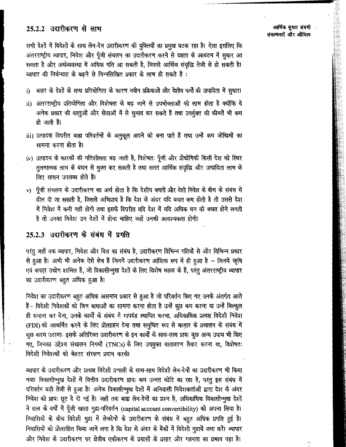### 25.2.2 उदारीकरण से लाभ

सभी देशों में विदेशों के साथ लेन-देन उदारीकरण की युक्तियों का प्रमुख घटक रहा है। ऐसा इसलिए कि अंतरराष्ट्रीय व्यापार, निवेश और पूँजी संचलन का उदारीकरण करने से दक्षता के आबंटन में सुधार आ सकता है और अर्थव्यवस्था में अधिक गति आ सकती है, जिससे आर्थिक संवृद्धि तेजी से हो सकती है। व्यापार की निर्बन्धता के बढने से निम्नलिखित प्रकार के लाभ हो सकते हैं :

बाहर के देशों के साथ प्रतियोगिता के कारण नवीन प्रक्रियाओं और देशीय फर्मों की उत्पादिता में सुधार। i)

- ii) अंतरराष्ट्रीय प्रतियोगिता और विशेषता के बढ़ जाने से उपभोक्ताओं को लाभ होता है क्योंकि वे अनेक प्रकार की वस्तुओं और सेवाओं में से चुनाव कर सकते हैं तथा उपर्युक्त की कीमतें भी कम हो जाती है।
- iii) उत्पादक विपरीत बाह्य परिवर्तनों के अनुकूल अपने को बना पाते हैं तथा उन्हें कम जोखिमों का सामना करना होता है।
- iv) उत्पादन के कारकों की गतिशीलता बढ़ जाती है, विशेषतः पूँजी और प्रौद्योगिकी किसी देश को स्थिर तुलनात्मक लाभ के बंधन से मुक्त कर सकती है तथा सतत आर्थिक संवृद्धि और उत्पादिता लाभ के लिए साधन उपलब्ध होते हैं।
- v) पूँजी संचलन के उदारीकरण का अर्थ होता है कि देशीय बचतों और देशी निवेश के बीच के संबंध में ढील दी जा सकती है, जिससे अभिप्राय है कि देश के अंदर यदि बचत कम होती है तो उससे देश में निवेश में कमी नहीं होगी तथा इसके विपरीत यदि देश में यदि अधिक धन की बचत होने लगती है तो उनका निवेश उन देशों में होना चाहिए जहाँ उनकी आवश्यकता होगी।

#### 25.2.3 उदारीकरण के संबंध में प्रगति

परंतु जहाँ तक व्यापार, निवेश और वित्त का संबंध है, उदारीकरण विभिन्न गतियों से और विभिन्न प्रकार से हुआ है। अभी भी अनेक ऐसे क्षेत्र हैं जिनमें उदारीकरण आंशिक रूप में ही हुआ है - जिनमें कृषि एवं कपड़ा उद्योग शामिल हैं, जो विकासोन्मुख देशों के लिए विशेष महत्व के हैं, परंतु अंतरराष्ट्रीय व्यापार का उदारीकरण बहुत अधिक हुआ है।

निवेश का उदारीकरण बहुत अधिक असमान प्रकार से हुआ है जो परिवर्तन किए गए उनके अंतर्गत आते हैं- विदेशी निवेशकों को जिन बाधाओं का सामना करना होता है उन्हें कुछ कम करना या उन्हें बिल्कुल ही समाप्त कर देना, उनके कार्यों के संबंध में मापदंड स्थापित करना, अधिकाधिक प्रत्यक्ष विदेशी निवेश (FDI) को आकर्षित करने के लिए प्रोत्साहन देना तथा समुचित रूप से बाज़ार के प्रचालन के संबंध<sup>ा</sup>में कुछ कदम उठाना। इसके अतिरिक्त उदारीकरण के इन कार्यों के साथ-साथ प्रायः कुछ अन्य उपाय भी किए गए, जिनका उद्देश्य संचालन निगर्मो (TNCs) के लिए उपयुक्त वातावरण तैयार करना था, विशेषतः विदेशी निवेशकों को बेहतर संरक्षण प्रदान करके।

व्यापार के उदारीकरण और प्रत्यक्ष विदेशी प्रणाली के साथ-साथ विदेशी लेन-देनों का उदारीकरण भी किया गया। विकासोन्मुख देशों में वित्तीय उदारीकरण प्रायः कम उन्नत कोटि का रहा है, परंतु इस संबंध में परिवर्तन बड़ी तेजी से हुआ है। अनेक विकासोन्मुख देशों में अनिवासी निवेशकर्ताओं द्वारा देश के अंदर निवेश को प्रायः छूट दे दी गई है। जहाँ तक बाह्य लेन-देनों का प्रश्न है, अधिकाधिक विकासोन्मुख देशों ने हाल के वर्षों में पूँजी खाता मुद्रा-परिवर्तन (capital account convertibility) को अपना लिया है। निवासियों के बीच विदेशी मुद्रा में लेनदेनों के उदारीकरण के संबंध में बहुत अधिक प्रगति हुई है। निवासियों को प्रोत्साहित किया जाने लगा है कि देश के अंदर के बैंकों में विदेशी मुद्रायें जमा करें। व्यापार और निवेश के उदारीकरण पर क्षेत्रीय एकीकरण के प्रयासों के प्रसार और गहनता का प्रभाव पड़ा है।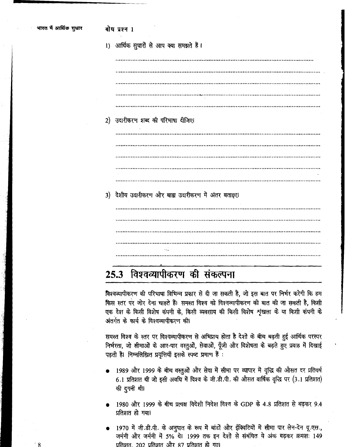|  | 1) आर्थिक सुधारों से आप क्या समझते हैं। |  |  |  |  |  |  |  |
|--|-----------------------------------------|--|--|--|--|--|--|--|
|--|-----------------------------------------|--|--|--|--|--|--|--|

2) उदारीकरण शब्द की परिभाषा दीजिए। 3) देशीय उदारीकरण और बाह्य उदारीकरण में अंतर बताइए। 

#### विश्वव्यापीकरण की संकल्पना  $25.3$

विश्वव्यापीकरण की परिभाषा विभिन्न प्रकार से दी जा सकती है, जो इस बात पर निर्भर करेगी कि हम किस स्तर पर जोर देना चाहते हैं। समस्त विश्व को विश्वव्यापीकरण की बात की जा सकती है, किसी एक देश के किसी विशेष कंपनी के, किसी व्यवसाय की किसी विशेष शृंखला के या किसी कंपनी के अंतर्गत के कार्य के विश्वव्यापीकरण की।

समस्त विश्व के स्तर पर विश्वव्यापीकरण से अभिप्राय होता है देशों के बीच बढ़ती हुई आर्थिक परस्पर निर्भरता, जो सीमाओं के आर-पार वस्तुओं, सेवाओं, पूँजी और विशेषता के बढ़ते हुए प्रवाह में दिखाई पड़ती है। निम्नलिख़ित प्रवृत्तियाँ इसके स्पष्ट प्रमाण हैं :

- 1989 और 1999 के बीच वस्तुओं और सेवा में सीमा पर व्यापार में वृद्धि की औसत दर प्रतिवर्ष 6.1 प्रतिशत थी जो इसी अवधि में विश्व के जी.डी.पी. की औसत वार्षिक वृद्धि पर (3.1 प्रतिशत) की दुगनी थी।
- 1980 और 1999 के बीच प्रत्यक्ष विदेशी निवेश विश्व के GDP के 4.8 प्रतिशत से बढ़कर 9.4 प्रतिशत हो गया।
- 1970 में जी.डी.पी. के अनुपात के रूप में बांडों और ईक्विटियों में सीमा पार लेन-देन यू.एस., जर्मनी और जर्मनी में 5% थे। 1999 तक इन देशों से संबंधित ये अंक बढ़कर क्रमशः 149 प्रतिशत, 202 प्रतिशत और 87 प्रतिशत हो गए।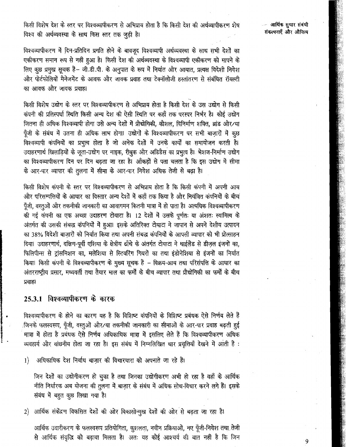किसी विशेष देश के स्तर पर विश्वव्यापीकरण से अभिप्राय होता है कि किसी देश की अर्थव्यापीकरण शेष विश्व की अर्थव्यवस्था के साथ किस स्तर तक जूड़ी है।

आर्थिक सुधार संबंधी संकल्पनाएँ और औचित्य

विश्वव्यापीकरण में दिन-प्रतिदिन प्रगति होने के बावजूद विश्वव्यापी अर्थव्यवस्था के साथ सभी देशों का एकीकरण समान रूप से नहीं हुआ है। किसी देश की अर्थव्यवस्था के विश्वव्यापी एकीकरण को मापने के लिए कुछ प्रमुख सूचक हैं- जी.डी.पी. के अनुपात के रूप में निर्यात और आयात, प्रत्यक्ष विदेशी निवेश .<br>और पोर्टफोलियों मैनेजमेंट के आवक और जावक प्रवाह तथा टेक्नॉलोजी हस्तांतरण से संबंधित रॉयल्टी का आवक और जावक प्रवाह।

किसी विशेष उद्योग के स्तर पर विश्वव्यापीकरण से अभिप्राय होता है किसी देश के उस उद्योग से किसी कंपनी की प्रतिस्पर्धा स्थिति किसी अन्य देश की ऐसी स्थिति पर कहाँ तक परस्पर निर्भर है। कोई उद्योग जितना ही अधिक विश्वव्यापी होगा उसे अन्य देशों में प्रौद्योगिकी, कौशल, विनिर्माण शक्ति, ब्रांड और/या पूँजी के संबंध में उतना ही अधिक लाभ होगा। उद्योगों के विश्वव्यापीकरण पर सभी बाज़ारों में कुछ विश्वव्यापी कंपनियों का प्रभुत्व होता है जो अनेक देशों में उनके कार्यों का समायोजन करती है। उदाहरणार्थ खिलाड़ियों के जूता-उद्योग पर नाइक, रीबुक और अडिडैस का प्रभुत्व है। भेशज-निर्माण उद्योग का विश्वव्यापीकरण दिन पर दिन बढ़ता जा रहा है। आँकड़ों से पता चलता है कि इस उद्योग में सीमा के आर-पार व्यापार की तुलना में सीमा के आर-पार निवेश अधिक तेजी से बढ़ा है।

किसी विशेष कंपनी के स्तर पर विश्वव्यापीकरण से अभिप्राय होता है कि किसी कंपनी में अपनी आय और परिसम्पत्तियों के आधार का विस्तार अन्य देशों में कहाँ तक किया है और नियंत्रित कंपनियों के बीच पूँजी, वस्तुओं और तकनीकी जानकारी का आवागमन कितनी मात्रा में हो पाता है। अत्यधिक विश्वव्यापीकरण की गई कंपनी का एक अच्छा उदाहरण टोयाटा है। 12 देशों में उसके पूर्णतः या अंशतः स्वामित्व के अंतर्गत की उसकी संबद्ध कंपनियों में हुआ। इसके अतिरिक्त टोयाटा ने जापान से अपने देशीय उत्पादन का 38% विदेशी बाज़ारों को निर्यात किया तथा अपनी संबद्ध कंपनियों के आपसी व्यापार को भी प्रोत्साहन दिया। उदाहरणार्थ, दक्षिण-पूर्वी एशिया के क्षेत्रीय ढाँचे के अंतर्गत टोयाटा ने थाईलैंड से डीज़ल इंजनों का, फिलिपीन्स से ट्रांसमिशन का, मलेशिया से स्टियरिंग गियरों का तथा इंडोनेशिया से इंजनों का निर्यात किया। किसी कंपनी के विश्वव्यापीकरण के मुख्य सूचक हैं - विक्रय-आय तथा परिसंपत्ति के आधार का अंतरराष्ट्रीय प्रसार, मध्यवर्ती तथा तैयार माल का फर्मों के बीच व्यापार तथा प्रौद्योगिकी का फर्मों के बीच प्रवाह।

### 25.3.1 विश्वव्यापीकरण के कारक

विश्वव्यापीकरण के होने का कारण यह है कि विशिष्ट कंपनियों के विशिष्ट प्रबंधक ऐसे निर्णय लेते हैं /जिनके फलस्वरूप, पूँजी, वस्तुओं और⁄या तकनीकी जानकारी का सीमाओं के आर-पार प्रवाह बढ़ती हुई मात्रा में होता है प्रबंधक ऐसे निर्णय अधिकाधिक मात्रा में इसलिए लेते हैं कि विश्वव्यापीकरण अधिक व्यवहार्य और वांछनीय होता जा रहा है। इस संबंध में निम्नलिखित चार प्रवृत्तियाँ देखने में आती है:

 $|1\rangle$ अधिकाधिक देश निर्बाध बाज़ार की विचारधारा को अपनाते जा रहे हैं।

जिन देशों का उद्योगीकरण हो चुका है तथा जिनका उद्योगीकरण अभी हो रहा है वहाँ के आर्थिक नीति निर्धारक अब योजना की तुलना में बाज़ार के संबंध में अधिक सोच-विचार करने लगे हैं। इसके संबंध में बहुत कुछ लिखा गया है।

2) आर्थिक संकेंद्रण विकसित देशों की ओर विकासोन्मुख देशों की ओर से बढ़ता जा रहा है।

आर्थिक उदारीकरण के फलस्वरूप प्रतियोगिता, कुशलता, नवीन प्रक्रियाओं, नए पूँजी-निवेश तथा तेजी से आर्थिक संवृद्धि को बढ़ावा मिलता है। अतः यह कोई आश्चर्य की बात नहीं है कि जिन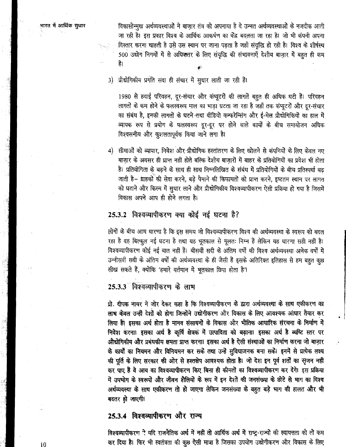भारत में आर्थिक सुधार

विकासोन्मुख अर्थव्यवस्थाओं ने बाज़ार तंत्र को अपनाया है वे उन्नत अर्थव्यवस्थाओं के नजदीक आती जा रही है। इस प्रकार विश्व के आर्थिक आकर्षण का केंद्र बदलता जा रहा है। जो भी कंपनी अपना विस्तार करना चाहती है उसे उस स्थान पर जाना पड़ता है जहाँ संवृद्धि हो रही है। विश्व के शीर्षस्थ 500 उद्योग निगर्मों में से अधिकतर के लिए संवृद्धि की संभावनाएँ देशीय बाजार में बहुत ही कम है।

3) प्रौद्योगिकीय प्रगति सदा ही संचार में सुधार लाती जा रही है।

1980 से हवाई परिवहन, दूर-संचार और कंप्यूटरों की लागतें बहुत ही अधिक घटी हैं। परिवहन लागतों के कम होने के फलस्वरूप माल का भाड़ा घटता जा रहा है जहाँ तक कंप्यूटरों और दूर-संचार का संबंध है, इनकी लागतों के घटने तथा वीडियो कन्फरेन्सिंग और ई-मेल प्रौद्योगिकियों का हाल में व्यापक रूप से प्रयोग के फलस्वरूप दूर-दूर पर होने वाले कार्यों के बीच समायोजन अधिक विश्वसनीय और कुशलतापूर्वक किया जाने लगा है।

4) सीमाओं को व्यापार, निवेश और ग्रौद्योगिक हस्तांतरण के लिए खोलने से कंपनियों के लिए केवल नए बाज़ार के अवसर ही प्राप्त नहीं होते बल्कि देशीय बाज़ारों में बाहर के प्रतियोगियों का प्रवेश भी होता है। प्रतियोगिता के बढ़ने के साथ ही साथ निम्नलिखित के संबंध में प्रतियोगियों के बीच प्रतिस्पर्धा बढ़ जाती है– ग्राहकों की सेवा करने, बड़े पैमाने की किफायतों को प्राप्त करने, इष्टतम स्थान पर लागत को घटाने और किस्म में सुधार लाने और प्रौद्योगिकीय विश्वव्यापीकरण ऐसी प्रक्रिया हो गया है जिसमें विकास अपने आप ही होने लगता है।

### 25.3.2 विश्वव्यापीकरण क्या कोई नई घटना है?

लोगों के बीच आम धारणा है कि इस समय जो विश्वव्यापीकरण विश्व की अर्थव्यवस्था के स्वरूप को बदल रहा है वह बिल्कुल नई घटना है तथा यह भूतकाल से मूलतः निम्न हैं लेकिन यह धारणा सही नहीं है। विश्वव्यापीकरण कोई नई बात नहीं हैं। बीसवीं सदी के अंतिम वर्षों की विश्व अर्थव्यवस्था अनेक वर्षों में उन्नीसवीं सदी के अंतिम वर्षों की अर्थव्यवस्था के ही जैसी हैं इसके अतिरिक्त इतिहास से हम बहुत कुछ सीख सकते हैं, क्योंकि 'हमारे वर्तमान में भूतकाल छिपा होता है'।

25.3.3 विश्वव्यापीकरण के लाभ

प्रो. दीपक नायर ने जोर देकर कहा है कि विश्वव्यापीकरण के द्वारा अर्थव्यवस्था के साथ एकीकरण का लाभ केवल उन्हीं देशों को होगा जिन्होंने उद्योगीकरण और विकास के लिए आवश्यक आंधार तैयार कर लिया है। इसका अर्थ होता है मानव संसाधनों के विकास और भौतिक आधारिक संरचना के निर्माण में निवेश करना। इसका अर्थ है कृषि क्षेत्रक में उत्पादिता को बढ़ाना। इसका अर्थ है व्यष्टि स्तर पर औद्योगिकीय और प्रबंधकीय क्षमता प्राप्त करना। इसका अर्थ है ऐसी संस्थाओं का निर्माण करना जो बाज़ार के कार्यों का नियमन और विनियमन कर सके तथा उन्हें सुविधाजनक बना सकें। इनमें से प्रत्येक लक्ष्य की पूर्ति के लिए सरकार की ओर से हस्तक्षेप आवश्यक होता है। जो देश इन पूर्व शर्तों का सृजन नही कर पाए हैं वे आय का विश्वव्यापीकरण किए बिना ही कीमतों का विश्वव्यापीकरण कर देंगे। इस प्रक्रिया में उपभोग के स्वरूपों और जीवन शैलियों के रूप में इन देशों की जनसंख्या के छोटे से भाग का विश्व अर्थव्यवस्था के साथ एकीकरण तो हो जाएगा लेकिन जनसंख्या के बहुत बड़े भाग की हालत और भी बदतर हो जाएगी।

#### 25.3.4 विश्वव्यापीकरण और राज्य

विश्वव्यापीकरण ने यदि राजनैतिक अर्थ में नहीं तो आर्थिक अर्थ में राष्ट्र-राज्यों की स्वायत्तता को तो कम कर दिया है। फिर भी स्वतंत्रता की कुछ ऐसी मात्रा है जिसका उपयोग उद्योगीकरण और विकास के लिए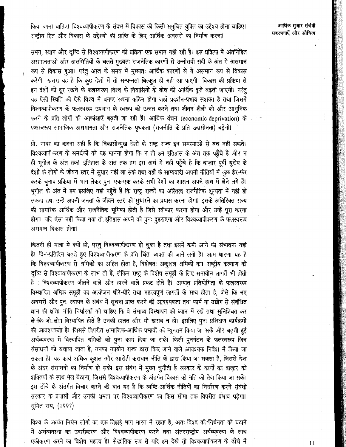आर्थिक सुधार संबंधी संकल्पनाएँ और औचित्य

किया जाना चाहिए। विश्वव्यापीकरण के संदर्भ में विकास की किसी समुचित युक्ति का उद्देश्य होना चाहिए। राष्ट्रीय हित और विकास के उद्देश्यों की प्राप्ति के लिए आर्थिक अवसरों का निर्माण करना!

समय, स्थान और दृष्टि से विश्वव्यापीकरण की प्रक्रिया एक समान नहीं रही है। इस प्रक्रिया में अंतर्निहित असमानताओं और असमितियों के चलते मुख्यतः राजनैतिक कारणों से उन्नीसवीं सदी के अंत में असमान रूप से विकास हुआ। परंतु आज के समय में मुख्यतः आर्थिक कारणों से ये असमान रूप से विकास करेंगी। खतरा यह है कि कुछ देशों में तो सम्पन्नता बिल्कुल ही नहीं आ पाएगी। विकास की प्रक्रिया से इन देशों को दूर रखने के फलस्वरूप विश्व के निवासियों के बीच की आर्थिक दूरी बढ़ती जाएगी। परंतु यह ऐसी स्थिति को ऐसे विश्व में बनाए रखना कठिन होगा जहाँ प्रदर्शन-प्रभाव सशक्त है तथा जिसमें विश्वव्यापीकरण के फलस्वरूप उपभाग के स्वरूप को उन्नत करने तथा जीवन शैली को और आधुनिक करने के प्रति लोगों की आकांक्षाएँ बढ़ती जा रही हैं। आर्थिक वंचन (economic deprivation) के फलस्वरूप सामाजिक असमानता और राजनैतिक पृथकता (राजनीति के प्रति उदासीनता) बढ़ेगी।

प्रो. नायर का कहना सही है कि विकासोन्मुख देशों के राष्ट्र राज्य इन समस्याओं से बच नहीं सकते। विश्वव्यापीकरण के समर्थकों को यह मानना होगा कि न तो हम इतिहास के अंत तक पहुँचे हैं और न ही भूगोल के अंत तक। इतिहास के अंत तक हम इस अर्थ में नहीं पहुँचे हैं कि बाज़ार पूर्वी यूरोप के देशों के लोगों के जीवन स्तर में सुधार नहीं ला सके तथा वहाँ के साम्यवादी अपनी नीतियों में कूछ हेर-फेर करके चनाव प्रक्रिया में भाग लेकर पुनः एक-एक करके सभी देशों का शासन अपने हाथ में लेने लगे हैं। भूगोल के अंत में हम इसलिए नहीं पहुँचे हैं कि राष्ट्र राज्यों का अस्तित्व राजनैतिक शून्यता में नहीं हो ू.<br>सकता तथा उन्हें अपनी जनता के जीवन स्तर को सुधारने का प्रयास करना होगा। इसके अतिरिक्त राज्य की सामरिक आर्थिक और राजनैतिक भूमिका होती है जिसे स्वीकार करना होगा और उन्हें पूरा करना होगा। यदि ऐसा नहीं किया गया तो इतिहास अपने को पुनः दुहराएगा और विश्वव्यापीकरण के फलस्वरूप असमान विकास होगा।

कितनी ही मात्रा में क्यों हो, परंतु विश्वव्यापीकरण हो चुका है तथा इसमें कमी आने की संभावना नहीं है। दिन-प्रतिदिन बढ़ते हुए विश्वव्यापीकरण के प्रति चिंता व्यक्त की जाने लगी है। आम धारणा यह है कि विश्वव्यापीकरण से श्रमिकों का अहित होता है, विशेषतः अकृशल श्रमिकों का। राष्ट्रीय कल्याण की दृष्टि से विश्वव्यापीकरण के लाभ तो हैं, लेकिन राष्ट्र के विशेष समूहों के लिए समायोन लागतें भी होती हैं : विश्वव्यापीकरण जीतने वाले और हारने वाले प्रकट होते हैं। आयात प्रतियोगिता के फलस्वरूप विस्थापित श्रमिक समूहों का आयोजन धीरे-धीरे तथा महत्त्वपूर्ण लागतों के साथ होता है, जैसे कि नए अवसरों और पुनः स्थापन के संबंध में सूचना प्राप्त करने की आवश्यकता तथा फार्म या उद्योग से संबंधित ज्ञान की क्षति। नीति निर्धारकों को चाहिए कि वे संभाव्य विस्थापन को ध्यान में रखें तथा सुनिश्चित कर लें कि जो लोग विस्थापित होते हैं उनकी हालत और भी खराब न हो। इसलिए पुनः प्रशिक्षण कार्यक्रमों की आवश्यकता है। जिससे विपरीत सामाजिक-आर्थिक प्रभावों को न्यूनतम किया जा सके और बढ़ती हुई अर्थव्यवस्था में विस्थापित श्रमिकों को पुनः काम दिया जा सके। किसी पुनर्गठन के फलस्वरूप जिन संसाधनों को बचाया जाता है, उनका उपयोग राज्य द्वारा किए जाने वाले आवश्यक निवेश में किया जा सकता है। यह कार्य अधिक कुशल और आरोही कराधान नीति के द्वारा किया जा सकता है, जिससे देश के अंदर संसाधनों का निर्माण हो सके। इस संबंध में मुख्य चुनौती है सरकार के कार्यों का बाज़ार की शक्तियों के साथ मेल बैठाना, जिससे विश्वव्यापीकरण के अंतर्गत विकास की गति को तेज किया जा सके। इस ढाँचे के अंतर्गत विचार करने की बात यह है कि व्यष्टि-आर्थिक नीतियों का निर्धारण करने संबंधी सरकार के प्रयासों और उनकी क्षमता पर विश्वव्यापीकरण का किस सीमा तक विपरीत प्रभाव पड़ेगा। सुमित राय, (1997)

विश्व के अत्यंत निर्धन लोगों का एक तिहाई भाग भारत में रहता है, अतः विश्व की निर्धनता को घटाने में अर्थव्यवस्था का उदारीकरण और विश्वव्यापीकरण करने तथा अंतरराष्ट्रीय अर्थव्यवस्था के साथ एकीकरण करने का विशेष महत्त्व है। सैद्धांतिक रूप से यदि हम देखें तो विश्वव्यापीकरण के ढाँचे में

 $11^{\circ}$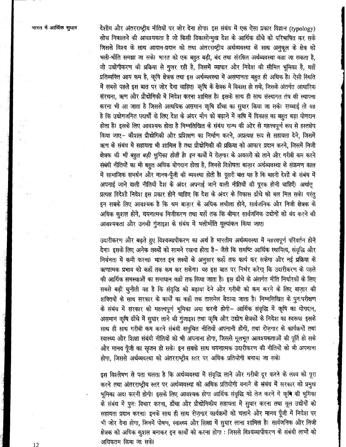देशीय और अंतरराष्ट्रीय नीतियों पर जोर देना होगा। इस संबंध में एक ऐसा प्रकार विज्ञान (typology) सोच निकालने की आवश्यकता है जो किसी विकासोंन्मुख देश के आर्थिक ढाँचे को परिभाषित कर सके जिससे विश्व के साथ आदान-प्रदान को तथा अंतरराष्ट्रीय अर्थव्यवस्था के साथ अनुकूल के क्षेत्र को भली-भाँति समझा जा सके। भारत को एक बहुत बड़ी, बंद तथा संरक्षित अर्थव्यवस्था कहा जा सकता है, जो उद्योगीकरण की प्रक्रिया से गुजर रही है, जिसमें व्यापार और निवेश की सीमित भूमिका है, यहाँ प्रतिव्यक्ति आय कम है, कृषि क्षेत्रक तथा इस अर्थव्यवस्था में असमानता बहुत ही अधिक है। ऐसी स्थिति में सबसे पहले इस बात पर जोर देना चाहिए। कृषि के क्षेत्रक में विकास हो सके, जिसके अंतर्गत आधारिक संरचना, ऋण और प्रौद्योगिकी में निवेश करना शामिल है। इसके साथ ही साथ संस्थागत तंत्र की स्थापना करना भी आ जाता है जिससे अत्यधिक असमान कृषि ढाँचा का सुधार किया जा सके। सच्चाई तो यह है कि उद्योगजनित पदार्थों के लिए देश के अंदर माँग को बढ़ाने में कषि में विकास का बहुत बड़ा योगदान होता है। इसके लिए आवश्यक होता है निम्नलिखित के संबंध राज्य की ओर से महत्त्वपूर्ण रूप से हस्तक्षेप किया जाए- कौशल प्रौद्योगिकी और प्रशिक्षण का निर्माण करने, अप्रत्यक्ष रूप से सहायता देने, जिसमें ऋण के संबंध में सहायता भी शामिल है तथा प्रौद्योगिकी की प्रक्रिया को आकार प्रदान करने. जिसमें निजी क्षेत्रक की *भी बहुत बड़ी भूमिका होती है। इन* कार्यों में रोज़गार के अवसरों को लाने और गरीबी कम करने संबंधी नीतियों का भी बहुत अधिक योगदान होता है, जिनसे विशेषता बाज़ार अर्थव्यवस्था के संक्रमण काल में सामाजिक समर्थन और मानव-पूँजी की व्यवस्था होती है। दूसरी बात यह है कि बाहरी देशों के संबंध में अपनाई जाने वाली नीतियाँ देश के अंदर अपनाई जाने वाली नीतियों की पूरक होनी चाहिएँ। अर्थात् प्रत्यक्ष विदेशी निवेश इस प्रकार होने चाहिए कि देश के अंदर के विकास ढाँचे को बल मिल सके। परंतु इन सबके लिए आवश्यक है कि श्रम बाज़ार के अधिक लचीला होने, सार्वजनिक और निजी क्षेत्रक के अधिक कुशल होने, चयनात्मक निजीकरण तथा यहाँ तक कि बीमार सार्वजनिक उद्योगों को बंद करने की आवश्यकता और उनकी गुंजाइश के संबंध में भलीभाँति मूल्यांकन किया जाए।

उदारीकरण और बढ़ते हुए विश्वव्यापीकरण का अर्थ है भारतीय अर्थव्यवस्था में महत्त्वपूर्ण परिवर्तन होने देना। इसके लिए अनेक लक्ष्यों को सामने रखना होता है- जैसे कि समष्टि आर्थिक स्थायित्व, संवृद्धि और निर्धनता में कमी करना। भारत इन लक्ष्यों के अनुसार कहाँ तक कार्य कर सकेगा और नई प्रक्रिया के ऋणात्मक प्रभाव को कहाँ तक कम कर सकेगा। यह इस बात पर निर्भर करेगा कि उदारीकरण के पहले की आर्थिक समस्याओं का समाधान कहाँ तक किया जाता है। इस ढाँचे के अंतर्गत नीति निर्धारकों के लिए सबसे बड़ी चुनौती यह है कि संवृद्धि को बढ़ावा देने और गरीबी को कम करने के लिए बाज़ार की शक्तियों के साथ सरकार के कार्यों का कहाँ तक तालमेल बैठाया जाता है। निम्नलिखित के पुनःपरीक्षण के संबंध में सरकार को महत्त्वपूर्ण भूमिका अदा करनी होगी- आर्थिक संवृद्धि में कृषि का योगदान, असमान कृषि ढाँचे में सुधार लाने की गुंजाइश तथा कृषि और उद्योग क्षेत्रकों के निवेश का स्वरूप। इसके साथ ही साथ गरीबी कम करने संबंधी समुचित नीतियाँ अपनानी होंगी, तथा रोज़गार के कार्यक्रमों तथा स्वास्थ्य और शिक्षा संबंधी नीतियों को भी अपनाना होगा, जिससे मूलभूत आवश्यकताओं की पूर्ति हो सके और मानव पूँजी का सृजन हो सके। इन सबके साथ चयनात्मक उदारीकरण की नीतियों को भी अपनाना होगा, जिससे अर्थव्यवस्था को अंतरराष्ट्रीय स्तर पर अधिक प्रतियोगी बनाया जा सके।

इस विश्लेषण से पता चलता है कि अर्थव्यवस्था में संवृद्धि लाने और गरीबी दूर करने के लक्ष्य को पूरा करने तथा अंतरराष्ट्रीय स्तर पर अर्थव्यवस्था को अधिक प्रतियोगी बनाने के संबंध में सरकार को प्रमुख भूमिका अदा करनी होगी। इसके लिए आवश्यक होगा आर्थिक संवृद्धि को तेज करने में कृषि की भूमिका के संबंध में पुनः विचार करना, ढाँचा और प्रौद्योगिकीय सहायता में सुधार करना तथा मूल उद्योगों को सहायता प्रदान करना। इनके साथ ही साथ रोज़गार कार्यक्रमों को चलाने और मानव पूँजी में निवेश पर भी जोर देना होगा, जिनमें पोषण, स्वास्थ्य और शिक्षा में सुधार लाना शामिल है। सार्वजनिक और निजी क्षेत्रक को अधिक कुशल बनाकर इन कार्यों को करना होगा : जिससे विश्वव्यापीकरण के संबंधी लाभों को अधिकतम किया जा सके।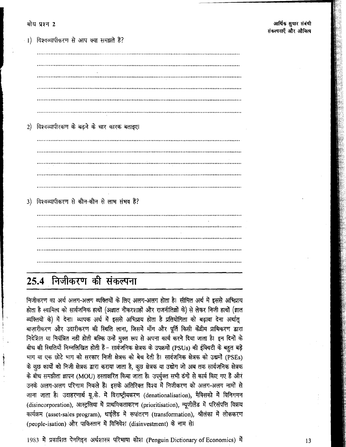1) विश्वव्यापीकरण से आप क्या समझते हैं? 2) विश्वव्यापीरकण के बढ़ने के चार कारक बताइए। <u> 1990 - Johann John Stone, september 1990 - John Stone, september 1990 - John Stone, september 1990 - John Stone</u> 3) विश्वव्यापीकरण से कौन-कौन से लाभ संभव है? 

# 25.4 निजीकरण की संकल्पना

निजीकरण का अर्थ अलग-अलग व्यक्तियों के लिए अलग-अलग होता है। सीमित अर्थ में इससे अभिप्राय होता है स्वामित्व को सार्वजनिक हाथों (अज्ञात नौकरशाहों और राजनीतिज्ञों के) से लेकर निजी हाथों (ज्ञात व्यक्तियों के) में देना। व्यापक अर्थ में इससे अभिप्राय होता है प्रतियोगिता को बढ़ावा देना अर्थातु बाज़ारीकरण और उदारीकरण की स्थिति लाना, जिसमें माँग और पूर्ति किसी केंद्रीय प्राधिकरण द्वारा निदेशित या नियंत्रित नहीं होती बल्कि उन्हें मुक्त रूप से अपना कार्य करने दिया जाता है। इन दिनों के बीच की स्थितियाँ निम्नलिखित होती हैं- सार्वजनिक क्षेत्रक के उपक्रमों (PSUs) की ईक्विटी के बहुत बड़े भाग या एक छोटे भाग को सरकार निजी क्षेत्रक को बेच देती है। सार्वजनिक क्षेत्रक को उद्यमों (PSEs) के कुछ कार्यों को निजी क्षेत्रक द्वारा कराया जाता है, कुछ क्षेत्रक या उद्योग जो अब तक सार्वजनिक क्षेत्रक के बीच समझौता ज्ञापन (MOU) हस्ताक्षरित किया जाता है। उपर्युक्त सभी ढंगों से कार्य किए गए हैं और उनके अलग-अलग परिणाम निकले हैं। इसके अतिरिक्त विश्व में निजीकरण को अलग-अलग नामों से जाना जाता है। उदाहरणार्थ यू.के. में विराष्ट्रीयकरण (denationalisation), मैक्सिको में विनिगमन (disincorporation), आस्ट्रलिया में प्राथमिकताकरण (prioritisation), न्यूजीलैंड में परिसंपत्ति विक्रय कार्यक्रम (asset-sales program), थाईलैंड में रूपांतरण (transformation), श्रीलंका में लोककरण (people-isation) और पाकिस्तान में विनिवेश (disinvestment) के नाम से।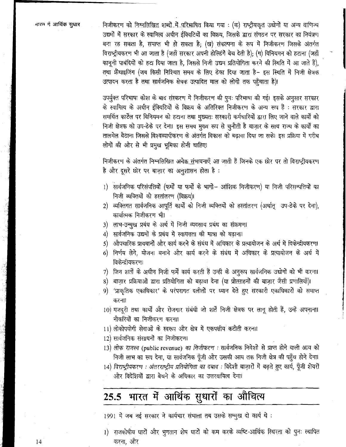निजीकरण को निम्नुलिखित शब्दों में परिभाषित किया गया : (क) राष्ट्रीयकृत उद्योगों या अन्य वाणिज्य उद्यमों में सरकार के स्वामित्व अधीन ईक्विटियों का विक्रय, जिसके द्वारा संगठन पर सरकार का नियंत्रण बना रह सकता है, समाप्त भी हो सकता है; (ख) संकल्पना के रूप में निजीकरण जिसके अंतर्गत विराष्ट्रीयकरण भी आ जाता है (जहाँ सरकार अपनी होल्डिंगें बेच देती है); (ग) विनियमन को हटाना (जहाँ कानूनी पाबंदियों को हटा दिया जाता है, जिससे निजी उद्यम प्रतियोगिता करने की स्थिति में आ जाते हैं), तथा फ्रैंचाइजिंग (जब किसी निश्चित समय के लिए ठेका दिया जाता है– इस स्थिति में निजी क्षेत्रक उत्पादन करता है तथा सार्वजनिक क्षेत्रक उत्पादित माल को लोगों तक पहुँचाता है)।

उपर्युक्त परिभाषा कोश के बाद संस्करण में निजीकरण की पुनः परिभाषा की गई। इसके अनुसार सरकार के स्वामित्व के अधीन ईक्विटियों के विक्रय के अतिरिक्त निजीकरण के अन्य रूप हैं : सरकार द्वारा समर्थित कार्टेल पर विनियमन को हटाना तथा मुख्यतः सरकारी कर्मचारियों द्वारा लिए जाने वाले कार्यों को निजी क्षेत्रक को उप-ठेके पर देना। इस समय मुख्य रूप से चुनौती है बाज़ार के साथ राज्य के कार्यों का तालमेल बैठाना जिससे विश्वव्यापीकरण के अंतर्गत विकास को बढ़ावा दिया जा सके। इस प्रक्रिया में गरीब लोगों की ओर से भी प्रमुख भूमिका होनी चाहिए।

निजीकरण के अंतर्गत निम्नलिखित अनेक<u>़ सं</u>भावनाएँ आ जाती हैं जिनके एक छोर पर तो विराष्ट्रीयकरण है और दूसरे छोर पर बाज़ार का अनुशासन होता है :

- 1) सार्वजनिक परिसंपत्तियों (फर्मों या फर्मों के भागों– आंशिक निजीकरण) या निजी परिसम्पत्तियों का निजी व्यक्तियों को हस्तांतरण (विक्रय)।
- 2) व्यक्तिगत सार्वजनिक आपूर्ति कार्यों को निजी व्यक्तियों को हस्तांतरण (अर्थातु उप-ठेके पर देना), कार्यात्मक निजीकरण भी।
- लाभ-उन्मुख प्रबंध के अर्थ में निजी व्यवसाय प्रबंध का संक्रमण।  $3)$
- 4) सार्वजनिक उद्यमों के प्रबंध में स्वायत्तता की मात्रा को बढ़ाना।
- औपचारिक प्रावधानों और कार्य करने के संबंध में अधिकार के प्रत्यायोजन के अर्थ में विकेन्द्रीयकरण।  $5)$
- 6) निर्णय लेने, योजना बनाने और कार्य करने के संबंध में अधिकार के प्रत्यायोजन के अर्थ में विकेन्द्रीयकरण।
- जिन शर्तों के अधीन निजी फर्में कार्य करती हैं उन्ही के अनुरूप सार्वजनिक उद्योगों को भी करना। 7)
- बाज़ार प्रक्रियाओं द्वारा प्रतियोगिता को बढ़ावा देना (या प्रोत्साहनों की बाज़ार जैसी प्रणालियाँ)। 8)
- 'प्राकृतिक एकाधिकार' के परंपरागत दलीलों पर ध्यान देते हुए सरकारी एकाधिकारों को समाप्त 9) करना।
- $10$ ) मजदूरी तथा कार्यों और रोजगार संबंधी जो शर्तें निजी क्षेत्रक पर लागू होती हैं, उन्हें अपनाना। नौकरियों का निजीकरण करना।
- 11) लोकोपयोगी सेवाओं के स्वरूप और क्षेत्र में एकपक्षीय कटौती करना।
- 12) सार्वजनिक संसाधनों का निजीकरण।
- 13) लोक राजस्व (public revenue) का निजीकरण : सार्वजनिक निवेशों से प्राप्त होने वाली आय को निजी लाभ का रूप देना, या सार्वजनिक पूँजी और उसकी आय तक निजी क्षेत्र की पहुँच होने देना।
- 14) विराष्ट्रीयकरण: अंतरराष्ट्रीय प्रतियोगिता का दबाव: विदेशी बाज़ारों में बढ़ते हुए कार्य, पूँजी शेयरों और विदेशियों द्वारा बेचने के अधिकार का उत्तरदायित्व देना।

# 25.5 भारत में आर्थिक सुधारों का औचित्य

1991 में जब नई सरकार ने कार्यभार संभाला तब उसके सम्मुख दो कार्य थे :

1) राजकोषीय घाटों और भुगतान शेष घाटों को कम करके व्यष्टि-आर्थिक स्थिरता को पुनः स्थापित करना, और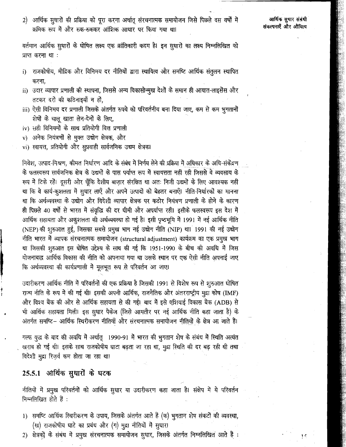2) आर्थिक सुधारों की प्रक्रिया को पूरा करना अर्थातू संरचनात्मक समायोजन जिसे पिछले दस वर्षों में क्रमिक रूप में और रुक-रुककर आंशिक आधार पर किया गया था।

 $\frac{1}{2}$ 

वर्तमान आर्थिक सुधारों के घोषित लक्ष्य एक क्रांतिकारी कदम है। इन सुधारों का लक्ष्य निम्नलिखित को प्राप्त करना था:

- राजकोषीय, मौद्रिक और विनिमय दर नीतियों द्वारा स्थायित्व और समष्टि आर्थिक संतुलन स्थापित  $\ddot{i}$ करना.
- ii) उदार व्यापार प्रणाली की स्थापना, जिससे अन्य विकासोन्मुख देशों के समान ही आयात-लाइसेंस और तटकर दरों की कठिनाइयाँ न हों,
- iii) ऐसी विनिमय दर प्रणाली जिसके अंतर्गत रुपये को परिवर्तनीय बना दिया जाए, कम से कम भुगतानों शेषों के चालू खाता लेन-देनों के लिए,
- iv) सही विनियमों के साथ प्रतियोगी वित्त प्रणाली
- v) अनेक नियंत्रणों से मुक्त उद्योग क्षेत्रक, और
- vi) स्वायत्त, प्रतियोगी और सुप्रवाही सार्वजनिक उद्यम क्षेत्रक।

निवेश, उत्पाद-मिश्रण, कीमत निर्धारण आदि के संबंध में निर्णय लेने की प्रक्रिया में अधिकार के अधि-संकेंद्रण के फलस्वरूप सार्वजनिक क्षेत्र के उद्यमों के पास पर्याप्त रूप में स्वायत्तता नहीं रही जिससे वे व्यवसाय के रूप में टिके रहें। दूसरी ओर चूँकि देशीय बाज़ार संरक्षित था अतः निजी उद्यमों के लिए आवश्यक नहीं था कि वे कार्य-कुशलता में सुधार लाएँ और अपने उत्पादों को बेहतर बनाएँ। नीति-निर्धारकों का मानना था कि अर्थव्यवस्था के उद्योग और विदेशी व्यापार क्षेत्रक पर कठोर नियंत्रण प्रणाली के होने के कारण ही पिछले 40 वर्षो से भारत में संवृद्धि की दर धीमी और अपर्याप्त रही। इसीके फलस्वरूप इस देश में आर्थिक सहायता और अकुशलता की अर्थव्यवस्था हो गई है। इसी पृष्ठभूमि में 1991 में नई आर्थिक नीति (NEP) की शुरुआत हुई, जिसका सबसे प्रमुख भाग नई उद्योग नीति (NIP) था। 1991 की नई उद्योग नीति भारत में व्यापक संरचनात्मक समायोजन (structural adjustment) कार्यक्रम का एक प्रमुख भाग था जिसकी शुरुआत इस घोषित उद्देश्य के साथ की गई कि 1951-1990 के बीच की अवधि में जिस योजनाबद्ध आर्थिक विकास की नीति को अपनाया गया था उसके स्थान पर एक ऐसी नीति अपनाई जाए कि अर्थव्यवस्था की कार्यप्रणाली में मूलभूत रूप से परिवर्तन आ जाए।

उदारीकरण आर्थिक नीति में परिवर्तनों की एक प्रक्रिया है जिसकी 1991 से विशेष रूप से शुरुआत घोषित राज्य नीति के रूप में की गई थी। इसकी अपनी आर्थिक, राजनैतिक और अंतरराष्ट्रीय मुद्रा कोष (IMF) और विश्व बैंक की ओर से आर्थिक सहायता से की गई। बाद में इसे एशियाई विकास बैंक (ADB) से भी आर्थिक सहायता मिली। इस सुधार पैकेज (जिसे आमतौर पर नई आर्थिक नीति कहा जाता है) के अंतर्गत समष्टि- आर्थिक स्थिरीकरण नीतियाँ और संरचनात्मक समायोजन नीतियों के क्षेत्र आ जाते हैं।

गल्फ युद्ध के बाद की अवधि में अर्थात् 1990-91 में भारत की भुगतान शेष के संबंध में स्थिति अत्यंत खराब हो गई थी। इसके साथ राजकोषीय घाटा बढ़ता जा रहा था, मुद्रा स्थिति की दर बढ़ रही थी तथा विदेशी मुद्रा रिज़र्व कम होता जा रहा था।

## 25.5.1 आर्थिक सुधारों के घटक

नीतियों में प्रमुख परिवर्तनों को आर्थिक सुधार या उदारीकरण कहा जाता है। संक्षेप में ये परिवर्तन निम्नलिखित होते हैं :

- 1) समष्टि आर्थिक स्थिरीकरण के उपाय, जिसके अंतर्गत आते हैं (क) भुगतान शेष संकटों की व्यवस्था, (ख) राजकोषीय घाटे का प्रबंध और (ग) मुद्रा नीतियों में सुधार।
- 2) क्षेत्रकों के संबंध में प्रमुख संरचनात्मक समायोजन सुधार, जिसके अंतर्गत निम्नलिखित आते हैं :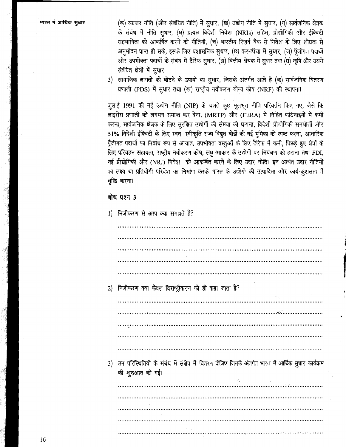(क) व्यापार नीति (और संबंधित नीति) में सुधार, (ख) उद्योग नीति में सुधार, (ग) सार्वजनिक क्षेत्रक के संबंध में नीति सुधार, (घ) प्रत्यक्ष विदेशी निवेश (NRIs) सहित, प्रौद्योगिकी और ईक्विटी सहभागिता को आकर्षित करने की नीतियाँ, (च) भारतीय रिज़र्व बैंक से निवेश के लिए शीघ्रता से अनुमोदन प्राप्त हो सके, इसके लिए प्रशासनिक सुधार, (छ) कर-ढाँचा में सुधार, (ज) पूँजीगत पदार्थों और उपभोक्ता पदार्थों के संबंध में टैरिफ सुधार, (झ) वित्तीय क्षेत्रक में सुधार तथा (छ) कृषि और उससे संबंधित क्षेत्रों में सुधार।

3) सामाजिक लागतों को बाँटने के उपायों का सुधार, जिसके अंतर्गत आते हैं (क) सार्वजनिक वितरण प्रणाली (PDS) में सुधार तथा (ख) राष्ट्रीय नवीकरण योग्य कोष (NRF) की स्थापना।

जुलाई 1991 की नई उद्योग नीति (NIP) के चलते कूछ मूलभूत नीति परिवर्तन किए गए, जैसे कि लाइसेंस प्रणाली को लगभग समाप्त कर देना, (MRTP) और (FERA) में निहित कठिनाइयों में कमी करना, सार्वजनिक क्षेत्रक के लिए सुरक्षित उद्योगों की संख्या को घटाना, विदेशी प्रौद्योगिकी समझौतों और 51% विदेशी ईक्विटी के लिए स्वतः स्वीकृति राज्य विद्यूत बोर्डों की नई भूमिका को स्पष्ट करना, आधारिक पूँजीगत पदार्थों का निर्बाध रूप से आयात, उपभोक्ता वस्तुओं के लिए टैरिफ में कमी, पिछड़े हुए क्षेत्रों के लिए परिवहन सहायता, राष्ट्रीय नवीकरण कोष, लघु आकार के उद्योगों पर नियंत्रण को हटाना तथा FDI, नई प्रौद्योगिकी और (NRI) निवेश को आकर्षित करने के लिए उदार नीति। इन अत्यंत उदार नीतियों का लक्ष्य था प्रतियोगी परिवेश का निर्माण करके भारत के उद्योगों की उत्पादिता और कार्य-कुशलता में वृद्धि करना।

#### बोध प्रश्न 3

1) निजीकरण से आप क्या समझते हैं?

2) निजीकरण क्या केवल विराष्ट्रीकरण को ही कहा जाता है? 3) उन परिस्थितियों के संबंध में संक्षेप में वितरण दीजिए जिनके अंतर्गत भारत में आर्थिक सुधार कार्यक्रम की शुरुआत की गई।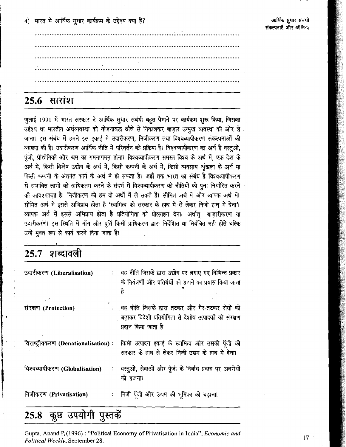4) भारत में आर्थिक सुधार कार्यक्रम के उद्देश्य क्या हैं?

## **25.6 सारांश**

जुलाई 1991 में भारत सरकार ने आर्थिक सुधार संबंधी बहुत पैमाने पर कार्यक्रम शुरू किया, जिसका उद्देश्य था भारतीय अर्थव्यवस्था को योजनाबद्ध ढाँचे से निकालकर बाज़ार उन्मुख व्यवस्था की ओर ले. जाना। इस संबंध में हमने इस इकाई में उदारीकरण, निजीकरण तथा विश्वव्यापीकरण संकल्पनाओं की व्याख्या की है। उदारीकरण आर्थिक नीति में परिवर्तन की प्रक्रिया है। विश्वव्यापीकरण का अर्थ है वस्तूओं, पूँजी, प्रौद्योगिकी और श्रम का गमनागमन होना। विश्वव्यापीकरण समस्त विश्व के अर्थ में, एक देश के अर्थ में, किसी विशेष उद्योग के अर्थ में, किसी कम्पनी के अर्थ में, किसी व्यवसाय शृंखला के अर्थ या किसी कम्पनी के अंतर्गत कार्य के अर्थ में हो सकता है। जहाँ तक भारत का संबंध है विश्वव्यापीकरण से संभावित लाभों को अधिकतम करने के संदर्भ में विश्वव्यापीकरण की नीतियों को पनः निर्धारित करने की आवश्यकता है। निजीकरण को हम दो अर्थों में ले सकते हैं। सीमित अर्थ में और व्यापक अर्थ में। सीमित अर्थ में इससे अभिप्राय होता है 'स्वामित्व को सरकार के हाथ में से लेकर निजी हाथ में देना'। व्यापक अर्थ में इससे अभिप्राय होता है प्रतियोगिता को प्रोत्साहन देना। अर्थातू बाज़ारीकरण या उदारीकरणं। इस स्थिति में माँग और पूर्ति किसी प्राधिकरण द्वारा निर्देशित या नियंत्रित नही होते बल्कि उन्हें मुक्त रूप से कार्य करने दिया जाता है।

| $25.7$ शब्दावली                     |                                                                                                                                     |
|-------------------------------------|-------------------------------------------------------------------------------------------------------------------------------------|
| उदारीकरण (Liberalisation)           | :   वह नीति जिसके द्वारा उद्योग पर लगाए गए विभिन्न प्रकार<br>के नियंत्रणों और प्रतिबंधों को हटाने का प्रयास किया जाता<br>है।        |
| संरक्षण (Protection)                | : वह नीति जिसके द्वारा तटकर और गैर-तटकर रोधों को<br>बढ़ाकर विदेशी प्रतियोगिता से देशीय उत्पादकों को संरक्षण<br>प्रदान किया जाता है। |
| विराष्ट्रीयकरण (Denationalisation): | किसी उत्पादन इकाई के स्वामित्व और उसकी पूँजी को<br>सरकार के हाथ से लेकर निजी उद्यम के हाथ में देना।                                 |
| विश्वव्यापीकरण (Globalisation)      | : वस्तुओं, सेवाओं और पूँजी के निर्बाध प्रवाह पर अवरोधों<br>को हटाना।                                                                |
| निजीकरण (Privatisation)             | :   निजी पूँजी और उद्यम की भूमिका को बढ़ाना।                                                                                        |

## 25.8 कुछ उपयोगी पुस्तकें

Gupta, Anand P. (1996): "Political Economy of Privatisation in India", Economic and Political Weekly, September 28.